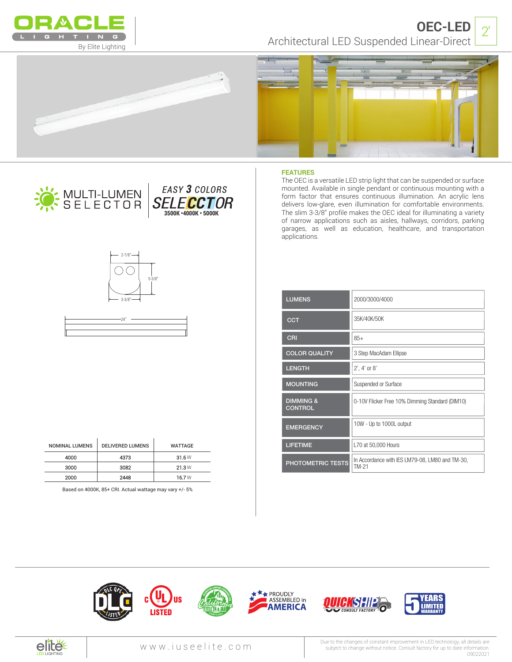

Architectural LED Suspended Linear-Direct **OEC-LED**  $\sqrt{2}$ 









**40K**

CRI **90**

*EASY 3 COLORS*

**3500K •4000K • 5000K**

**FEATURES**

The OEC is a versatile LED strip light that can be suspended or surface mounted. Available in single pendant or continuous mounting with a form factor that ensures continuous illumination. An acrylic lens delivers low-glare, even illumination for comfortable environments. The slim 3-3/8" profile makes the OEC ideal for illuminating a variety of narrow applications such as aisles, hallways, corridors, parking garages, as well as education, healthcare, and transportation applications.

| <b>LUMENS</b>                          | 2000/3000/4000                                           |
|----------------------------------------|----------------------------------------------------------|
| <b>CCT</b>                             | 35K/40K/50K                                              |
| CRI                                    | $85+$                                                    |
| <b>COLOR QUALITY</b>                   | 3 Step MacAdam Ellipse                                   |
| <b>LENGTH</b>                          | $2'$ , 4' or 8'                                          |
| <b>MOUNTING</b>                        | Suspended or Surface                                     |
| <b>DIMMING &amp;</b><br><b>CONTROL</b> | 0-10V Flicker Free 10% Dimming Standard (DIM10)          |
| <b>EMERGENCY</b>                       | 10W - Up to 1000L output                                 |
| <b>LIFETIME</b>                        | L70 at 50,000 Hours                                      |
| PHOTOMETRIC TESTS                      | In Accordance with IES LM79-08, LM80 and TM-30,<br>TM-21 |

| $-2.7/8$ "<br>$3 - 3/8"$<br>٠ | $5 - 3/8"$<br>٠ |  |
|-------------------------------|-----------------|--|
| $-24"$                        |                 |  |
|                               |                 |  |

WATT **5** LUMENS **300**

| <b>NOMINAL LUMENS</b> | <b>DELIVERED LUMENS</b> | WATTAGE |
|-----------------------|-------------------------|---------|
| 4000                  | 4373                    | 31.6W   |
| 3000                  | 3082                    | 21.3W   |
| 2000                  | 2448                    | 16.7W   |

Based on 4000K, 85+ CRI. Actual wattage may vary +/- 5%













Due to the changes of constant improvement in LED technology, all details are subject to change without notice. Consult factory for up to date information. 09022021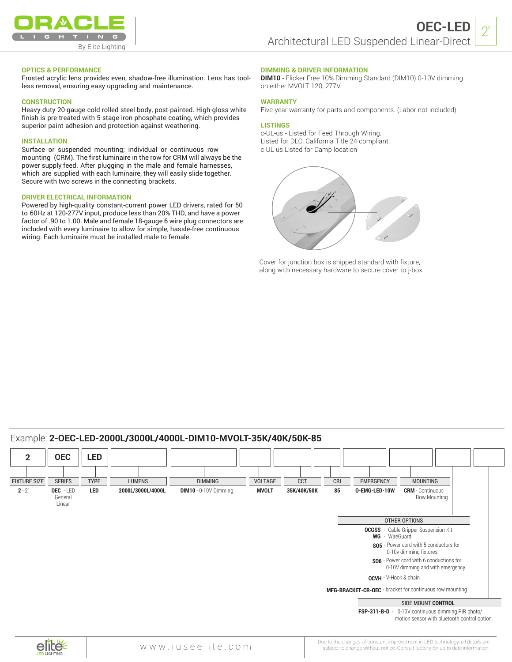

 $2'$ 

## **OPTICS & PERFORMANCE**

Frosted acrylic lens provides even, shadow-free illumination. Lens has toolless removal, ensuring easy upgrading and maintenance.

# **CONSTRUCTION**

Heavy-duty 20-gauge cold rolled steel body, post-painted. High-gloss white finish is pre-treated with 5-stage iron phosphate coating, which provides superior paint adhesion and protection against weathering.

#### **INSTALLATION**

Surface or suspended mounting; individual or continuous row mounting (CRM). The first luminaire in the row for CRM will always be the power supply feed. After plugging in the male and female harnesses, which are supplied with each luminaire, they will easily slide together. Secure with two screws in the connecting brackets.

# **DRIVER ELECTRICAL INFORMATION**

Powered by high-quality constant-current power LED drivers, rated for 50 to 60Hz at 120-277V input, produce less than 20% THD, and have a power factor of .90 to 1.00. Male and female 18-gauge 6 wire plug connectors are included with every luminaire to allow for simple, hassle-free continuous wiring. Each luminaire must be installed male to female.

## **DIMMING & DRIVER INFORMATION**

**DIM10** - Flicker Free 10% Dimming Standard (DIM10) 0-10V dimming on either MVOLT 120, 277V.

#### **WARRANTY**

Five-year warranty for parts and components. (Labor not included)

#### **LISTINGS**

c-UL-us - Listed for Feed Through Wiring. Listed for DLC, California Title 24 compliant. c UL us Listed for Damp location



Cover for junction box is shipped standard with fixture, along with necessary hardware to secure cover to j-box.

# Example: **2-OEC-LED-2000L/3000L/4000L-DIM10-MVOLT-35K/40K/50K-85**



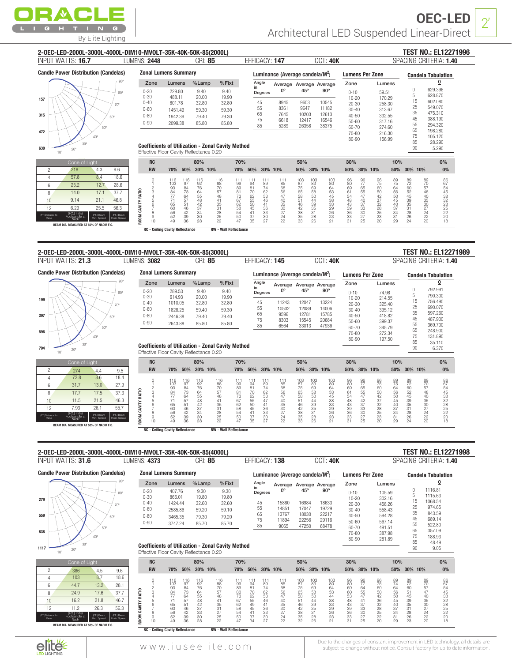

| 2-OEC-LED-2000L-3000L-4000L-DIM10-MVOLT-35K-40K-50K-85(2000L)                                                                                                       |                                                |                                                                                                     |                         |                                                                             |                                                    |                        |                                             |                                              |                                                                                  |                                  |                                      |                    |                                      |                                  |                                                                            |                     | <b>TEST NO.: EL12271996</b>                     |  |
|---------------------------------------------------------------------------------------------------------------------------------------------------------------------|------------------------------------------------|-----------------------------------------------------------------------------------------------------|-------------------------|-----------------------------------------------------------------------------|----------------------------------------------------|------------------------|---------------------------------------------|----------------------------------------------|----------------------------------------------------------------------------------|----------------------------------|--------------------------------------|--------------------|--------------------------------------|----------------------------------|----------------------------------------------------------------------------|---------------------|-------------------------------------------------|--|
| INPUT WATTS: 16.7                                                                                                                                                   | LUMENS: 2448                                   |                                                                                                     | CRI: 85                 |                                                                             |                                                    | EFFICACY: 147          |                                             |                                              |                                                                                  | CCT: 40K                         |                                      |                    |                                      |                                  |                                                                            |                     | SPACING CRITERIA: 1.40                          |  |
| <b>Candle Power Distribution (Candelas)</b>                                                                                                                         |                                                | <b>Zonal Lumens Summary</b>                                                                         |                         |                                                                             |                                                    |                        | Luminance (Average candela/M <sup>2</sup> ) |                                              |                                                                                  |                                  | <b>Lumens Per Zone</b>               |                    |                                      |                                  |                                                                            |                     | <b>Candela Tabulation</b>                       |  |
| $80^\circ$                                                                                                                                                          | Zone<br>$0 - 20$<br>$0 - 30$                   | Lumens<br>229.80<br>488.11                                                                          | %Lamp<br>9.40<br>20.00  | %Fixt<br>9.40<br>19.90                                                      |                                                    | Angle<br>in<br>Degrees | Average Average Average<br>$0^{\circ}$      | 45°                                          |                                                                                  | $90^\circ$                       | Zone<br>$0 - 10$<br>$10 - 20$        |                    | Lumens<br>59.51<br>170.29            |                                  | $\,0\,$<br>5                                                               |                     | 0<br>629.396<br>628.870                         |  |
| 157<br>709<br>315<br>60 <sup>c</sup>                                                                                                                                | $0 - 40$<br>$0 - 60$<br>$0 - 80$               | 801.78<br>1451.49<br>1942.39                                                                        | 32.80<br>59.30<br>79.40 | 32.80<br>59.30<br>79.30                                                     |                                                    | 45<br>55<br>65         | 8945<br>8361<br>7645                        | 9603<br>9647<br>10203                        |                                                                                  | 10545<br>11182<br>12613          | $20 - 30$<br>$30 - 40$<br>$40 - 50$  |                    | 258.30<br>313.67<br>332.55           |                                  | 15<br>25<br>35<br>45                                                       |                     | 602.080<br>549.070<br>475.310                   |  |
| 472                                                                                                                                                                 | $0 - 90$                                       | 2099.38                                                                                             | 85.80                   | 85.80                                                                       |                                                    | 75<br>85               | 6618<br>5289                                | 12417<br>26358                               |                                                                                  | 16546<br>38375                   | $50 - 60$<br>60-70<br>70-80<br>80-90 |                    | 317.16<br>274.60<br>216.30<br>156.99 |                                  | 55<br>65<br>75<br>85                                                       |                     | 388.190<br>294.320<br>198.280<br>105.120        |  |
| $30^{\circ}$<br>630<br>$20^{\circ}$<br>$10^{\circ}$                                                                                                                 |                                                | <b>Coefficients of Utilization - Zonal Cavity Method</b><br>Effective Floor Cavity Reflectance 0.20 |                         |                                                                             |                                                    |                        |                                             |                                              |                                                                                  |                                  |                                      |                    |                                      |                                  | 90                                                                         |                     | 28.290<br>5.290                                 |  |
| Cone of Light                                                                                                                                                       | <b>RC</b>                                      |                                                                                                     | 80%                     |                                                                             | 70%                                                |                        |                                             | 50%                                          |                                                                                  |                                  | 30%                                  |                    |                                      | 10%                              |                                                                            |                     | 0%                                              |  |
| 9.6<br>218<br>4.3<br>$\overline{c}$                                                                                                                                 | <b>RW</b>                                      | 70%<br>50%                                                                                          | 30% 10%                 | 70%                                                                         | 50%                                                | 30% 10%                |                                             | 50%                                          | 30% 10%                                                                          |                                  | 50%                                  | 30% 10%            |                                      | 50%                              | 30% 10%                                                                    |                     | 0%                                              |  |
| 57.8<br>8.4<br>18.6<br>$\overline{4}$<br>25.2<br>12.7<br>28.6<br>6<br>14.0<br>17.1<br>37.7<br>8                                                                     | $\frac{0}{1}$                                  | 116<br>97                                                                                           |                         | 116<br>88                                                                   | 1194<br>81<br>81<br>62<br>55<br>50<br>45<br>41     |                        |                                             |                                              |                                                                                  |                                  |                                      |                    |                                      | 8975 64 65 60 45 40 37 34        |                                                                            |                     |                                                 |  |
| 10<br>9.14<br>21.1<br>46.8<br>12<br>6.29<br>25.5<br>56.3<br>(FC.) Initial<br>Footcandle at<br>Nadir<br>(FT.) Beam<br>foriz. Sprea<br>(FT.)Distance to<br>(FT.) Beam | 2345678<br>ROOM CAVITY RATIO<br>$\frac{9}{10}$ | 1103 84 77 71 65 60 56 52 49<br>84736457514642<br>$rac{1}{30}$                                      | 1926458427433828        | 11998812873628845047<br>70 57 48 41 35 31 28 25 22                          | $\frac{37}{35}$                                    | 1189462346443633027    | 11858654740353072422                        | 1037565814238333                             | 1033 69 88 0 44 39 35 31 82 82 8                                                 | 103045345333982222222222         | 980914843963313                      | 967655474273390725 |                                      | $\frac{31}{29}$                  | 897260245933182822424                                                      | 8970754840302742220 |                                                 |  |
| BEAM DIA. MEASURED AT 50% OF NADIR F.C.                                                                                                                             |                                                |                                                                                                     |                         |                                                                             |                                                    |                        |                                             |                                              |                                                                                  |                                  |                                      |                    |                                      |                                  |                                                                            |                     |                                                 |  |
|                                                                                                                                                                     |                                                | <b>RC - Ceiling Cavity Reflectance</b>                                                              |                         | <b>RW</b> - Wall Reflectance                                                |                                                    |                        |                                             |                                              |                                                                                  |                                  |                                      |                    |                                      |                                  |                                                                            |                     |                                                 |  |
|                                                                                                                                                                     |                                                |                                                                                                     |                         |                                                                             |                                                    |                        |                                             |                                              |                                                                                  |                                  |                                      |                    |                                      |                                  |                                                                            |                     |                                                 |  |
| 2-OEC-LED-2000L-3000L-4000L-DIM10-MVOLT-35K-40K-50K-85(3000L)                                                                                                       |                                                |                                                                                                     |                         |                                                                             |                                                    |                        |                                             |                                              |                                                                                  |                                  |                                      |                    |                                      |                                  |                                                                            |                     | <b>TEST NO.: EL12271989</b>                     |  |
| <b>INPUT WATTS: 21.3</b>                                                                                                                                            | LUMENS: 3082                                   |                                                                                                     | CRI: 85                 |                                                                             |                                                    | EFFICACY: 145          |                                             |                                              |                                                                                  | CCT: 40K                         |                                      |                    |                                      |                                  |                                                                            |                     | SPACING CRITERIA: 1.40                          |  |
| <b>Candle Power Distribution (Candelas)</b>                                                                                                                         |                                                | <b>Zonal Lumens Summary</b>                                                                         |                         |                                                                             |                                                    |                        | Luminance (Average candela/M <sup>2</sup> ) |                                              |                                                                                  |                                  | <b>Lumens Per Zone</b>               |                    |                                      |                                  |                                                                            |                     | <b>Candela Tabulation</b>                       |  |
| $90^\circ$                                                                                                                                                          | Zone                                           | Lumens                                                                                              | %Lamp                   | %Fixt                                                                       |                                                    | Angle<br>in            | Average Average Average                     |                                              |                                                                                  |                                  | Zone                                 |                    | Lumens                               |                                  |                                                                            |                     | 0                                               |  |
| $80^\circ$                                                                                                                                                          | $0 - 20$<br>$0 - 30$                           | 289.53<br>614.93                                                                                    | 9.40<br>20.00           | 9.40<br>19.90                                                               |                                                    | Degrees                | $0^{\circ}$                                 | 45°                                          |                                                                                  | $90^\circ$                       | $0 - 10$                             |                    | 74.98                                |                                  | $\,0\,$<br>5                                                               |                     | 792.991<br>790.300                              |  |
| 199<br>709                                                                                                                                                          | $0 - 40$                                       | 1010.05                                                                                             | 32.80                   | 32.80                                                                       |                                                    | 45                     | 11243                                       | 12047                                        |                                                                                  | 13224                            | $10 - 20$<br>$20 - 30$               |                    | 214.55<br>325.40                     |                                  | 15                                                                         |                     | 756.490                                         |  |
| 397                                                                                                                                                                 | $0 - 60$                                       | 1828.25                                                                                             | 59.40                   | 59.30                                                                       |                                                    | 55<br>65               | 10502<br>9596                               | 12089<br>12781                               |                                                                                  | 14006<br>15785                   | $30 - 40$                            |                    | 395.12                               |                                  | 25<br>35                                                                   |                     | 690.070<br>597.260                              |  |
|                                                                                                                                                                     | $0 - 80$<br>$0 - 90$                           | 2446.38<br>2643.88                                                                                  | 79.40<br>85.80          | 79.40<br>85.80                                                              |                                                    | 75                     | 8303                                        | 15545                                        |                                                                                  | 20684                            | $40 - 50$<br>$50 - 60$               |                    | 418.82<br>399.37                     |                                  | 45                                                                         |                     | 487.900                                         |  |
| 596                                                                                                                                                                 |                                                |                                                                                                     |                         |                                                                             |                                                    | 85                     | 6564                                        | 33013                                        |                                                                                  | 47936                            | 60-70                                |                    | 345.79                               |                                  | 55<br>65                                                                   |                     | 369.700<br>248.900                              |  |
| $40^{\circ}$                                                                                                                                                        |                                                |                                                                                                     |                         |                                                                             |                                                    |                        |                                             |                                              |                                                                                  |                                  | 70-80<br>80-90                       |                    | 272.34<br>197.50                     |                                  | 75<br>85                                                                   |                     | 131.890                                         |  |
| $30^{\circ}$<br>794<br>$20^{\circ}$<br>$10^{\circ}$                                                                                                                 |                                                | <b>Coefficients of Utilization - Zonal Cavity Method</b><br>Effective Floor Cavity Reflectance 0.20 |                         |                                                                             |                                                    |                        |                                             |                                              |                                                                                  |                                  |                                      |                    |                                      |                                  | 90                                                                         |                     | 35.110<br>6.370                                 |  |
| Cone of Light                                                                                                                                                       | <b>RC</b>                                      |                                                                                                     | 80%                     |                                                                             | 70%                                                |                        |                                             | 50%                                          |                                                                                  |                                  | 30%                                  |                    |                                      | 10%                              |                                                                            |                     | 0%                                              |  |
| 2<br>274<br>4.4<br>9.5                                                                                                                                              | <b>RW</b>                                      | 70% 50%                                                                                             | 30% 10%                 | 70%                                                                         | 50%                                                | 30% 10%                |                                             | 50%                                          | 30% 10%                                                                          |                                  |                                      | 50% 30% 10%        |                                      | 50%                              | 30% 10%                                                                    |                     | 0%                                              |  |
| 72.8<br>8.6<br>18.4<br>$\overline{4}$                                                                                                                               | $\frac{0}{1}$                                  |                                                                                                     |                         |                                                                             |                                                    |                        |                                             |                                              |                                                                                  |                                  |                                      |                    |                                      |                                  |                                                                            |                     |                                                 |  |
| 31.7<br>6<br>13.0<br>27.9                                                                                                                                           |                                                | $^{116}_{97}$                                                                                       |                         | 116<br>88                                                                   | $^{111}_{94}$                                      |                        |                                             | 103<br>87                                    |                                                                                  | 103<br>80                        |                                      |                    |                                      |                                  |                                                                            |                     |                                                 |  |
| 17.7<br>17.5<br>37.3<br>8<br>10<br>11.5<br>21.5<br>46.3                                                                                                             |                                                |                                                                                                     |                         |                                                                             |                                                    |                        |                                             |                                              |                                                                                  |                                  |                                      |                    |                                      |                                  |                                                                            |                     |                                                 |  |
| 55.7<br>12<br>7.93<br>26.1                                                                                                                                          | 234567                                         |                                                                                                     |                         |                                                                             |                                                    |                        |                                             |                                              |                                                                                  |                                  |                                      |                    |                                      |                                  |                                                                            |                     |                                                 |  |
| (FT.)Distance to<br>Plane<br>(FT.) Beam<br>Vert, Screa<br>(FT.) Beam<br>foriz. Sprea                                                                                | ROOM CAVITY RATIO<br>$\frac{8}{10}$            | 1103 93 84 77 71 65 60 56 22 9<br>84 73 64 57 16 42 39 36                                           | 19264584274338          | 119988128737628845547<br>70<br>57<br>48<br>41<br>35<br>31<br>28<br>52<br>22 | 81<br>70<br>62<br>55<br>50<br>45<br>41<br>37<br>35 | 11894425347418333027   | 118586647403500272422                       | 75<br>65<br>85<br>54<br>42<br>38<br>33<br>33 | 103<br>63<br>63<br>63<br>3<br>3<br>3<br>3<br>5<br>4<br>3<br>3<br>5<br>3<br>3<br> | 64 53 45 38 33 29 63 22 22 22 21 | 98090148398331                       | 967765547437339275 |                                      | 895 64 65 50 45 40 37 34 31 32 9 | 89<br>72<br>60<br>52<br>4<br>3<br>3<br>3<br>5<br>1<br>8<br>2<br>4<br>2<br> |                     | 867<br>545<br>382<br>282<br>22<br>22<br>22<br>3 |  |

| <b>INPUT WATTS: 31.6</b>                                                                                                          | <b>LUMENS: 4373</b>    |                                         | CRI: 85        |                                                          | EFFICACY: 138                    |                                             |                                               | <b>CCT: 40K</b>            |                                         |                       |                             |                 |                    | SPACING CRITERIA: 1.40                             |
|-----------------------------------------------------------------------------------------------------------------------------------|------------------------|-----------------------------------------|----------------|----------------------------------------------------------|----------------------------------|---------------------------------------------|-----------------------------------------------|----------------------------|-----------------------------------------|-----------------------|-----------------------------|-----------------|--------------------|----------------------------------------------------|
| <b>Candle Power Distribution (Candelas)</b>                                                                                       |                        | <b>Zonal Lumens Summary</b>             |                |                                                          |                                  | Luminance (Average candela/M <sup>2</sup> ) |                                               |                            | <b>Lumens Per Zone</b>                  |                       |                             |                 |                    | <b>Candela Tabulation</b>                          |
| $90^\circ$                                                                                                                        | Zone                   | Lumens                                  | %Lamp          | $%$ Fixt                                                 | Angle                            |                                             | Average Average Average                       |                            | Zone                                    |                       | Lumens                      |                 |                    | 0                                                  |
| $80^\circ$                                                                                                                        | $0 - 20$<br>$0 - 30$   | 407.76<br>866.01                        | 9.30<br>19.80  | 9.30<br>19.80                                            | in<br>Degrees                    | nº                                          | 45°                                           | $90^\circ$                 | $0 - 10$<br>$10 - 20$                   |                       | 105.59<br>302.16            |                 | 0<br>5             | 1116.81<br>1115.63                                 |
| 279<br>$70^{\circ}$                                                                                                               | $0 - 40$               | 1424.44                                 | 32.60          | 32.60                                                    | 45                               | 15880                                       | 16984                                         | 18633                      | $20 - 30$                               |                       | 458.26                      |                 | 15<br>25           | 1068.54<br>974.65                                  |
| 559                                                                                                                               | $0 - 60$               | 2585.86                                 | 59.20          | 59.10                                                    | 55<br>65                         | 14851<br>13767                              | 17047<br>18030                                | 19729<br>22217             | $30 - 40$                               |                       | 558.43                      |                 | 35                 | 843.59                                             |
| 60°                                                                                                                               | $0 - 80$<br>$0 - 90$   | 3465.35<br>3747.24                      | 79.30<br>85.70 | 79.20<br>85.70                                           | 75                               | 11894                                       | 22256                                         | 29116                      | $40 - 50$<br>$50 - 60$                  |                       | 594.28<br>567.14            |                 | 45                 | 689.14                                             |
|                                                                                                                                   |                        |                                         |                |                                                          | 85                               | 9065                                        | 47250                                         | 68478                      | 60-70                                   |                       | 491.51                      |                 | 55<br>65           | 522.80<br>357.09                                   |
| 838                                                                                                                               |                        |                                         |                |                                                          |                                  |                                             |                                               |                            |                                         |                       | 387.98                      |                 |                    |                                                    |
| 40 <sup>0</sup>                                                                                                                   |                        |                                         |                |                                                          |                                  |                                             |                                               |                            | 70-80                                   |                       |                             |                 | 75                 | 188.93                                             |
| 30 <sup>o</sup>                                                                                                                   |                        |                                         |                | <b>Coefficients of Utilization - Zonal Cavity Method</b> |                                  |                                             |                                               |                            | 80-90                                   |                       | 281.89                      |                 | 85                 | 48.49                                              |
| $20^{\circ}$<br>10 <sup>o</sup>                                                                                                   |                        | Effective Floor Cavity Reflectance 0.20 |                |                                                          |                                  |                                             |                                               |                            |                                         |                       |                             |                 | 90                 | 9.05                                               |
| Cone of Light                                                                                                                     | <b>RC</b>              |                                         | 80%            | 70%                                                      |                                  |                                             | 50%                                           |                            | 30%                                     |                       |                             | 10%             |                    | 0%                                                 |
| $\overline{c}$<br>9.6<br>386<br>4.5                                                                                               | <b>RW</b>              | 50%<br>70%                              | 30% 10%        | 70%                                                      | 50%                              | 30% 10%                                     | 30%<br>50%                                    | 10%                        | 50%                                     | 30% 10%               |                             | 50%             | 30% 10%            | 0%                                                 |
| 8.7<br>18.6<br>103<br>4                                                                                                           |                        | 116<br>116                              | 116            | 116<br>111                                               | 111<br>111                       | 111                                         | 103<br>103                                    | 103                        |                                         |                       |                             |                 |                    |                                                    |
| 28.1<br>13.2<br>44.7<br>6                                                                                                         |                        | 97<br>103<br>84                         | 92<br>76       | 88<br>99<br>70<br>89                                     | 94<br>89<br>74<br>81             | 85                                          | 87<br>83<br>69                                | 80<br>64                   | $\begin{array}{c} 96 \\ 80 \end{array}$ | $\frac{96}{77}$       | $\frac{96}{75}$<br>60       | $\frac{89}{74}$ | $^{89}_{72}$<br>60 | 89<br>70<br>57                                     |
| 1117<br>37.7<br>24.9<br>17.6<br>8                                                                                                 |                        | 93<br>84<br>73<br>77<br>64              | 64             | 57<br>80<br>48<br>73                                     | 62<br>70<br>53                   | 68<br>56<br>47                              | 75<br>65<br>58                                | 53                         | $\frac{69}{60}$                         | $64$<br>55            | 50                          | 64<br>56        | 51                 | 86<br>67<br>54<br>47<br>45                         |
| 10<br>46.7<br>16.2<br>21.8                                                                                                        | RATIO                  | 71<br>57                                | 55<br>48       | 41<br>67                                                 | 62<br>46<br>55                   | 40                                          | 58<br>50<br>44<br>51                          | 44<br>38                   | 53<br>48                                | 47<br>41              | 42<br>36                    | 50<br>45        | 45<br>39           | 38<br>40<br>35                                     |
| 11.2<br>26.3<br>56.3<br>12                                                                                                        | CAVITY                 | 65<br>60<br>51<br>46                    | 42<br>37       | 35<br>$^{62}_{58}$<br>31                                 | 49<br>41<br>45<br>36             | $\frac{35}{30}$                             | 46<br>42                                      |                            |                                         | 37<br>33              |                             | 40<br>37        | $\frac{35}{31}$    | $\frac{30}{27}$                                    |
| (FC.) Initial<br>(FT.) Beam<br>(FT.) Beam<br>(FT.)Distance to<br>Footcandle at<br>Plane<br>Vert. Spread<br>Horiz. Spread<br>Nadir | <b>ROOM</b><br>9<br>10 | 42<br>56<br>52<br>39<br>36<br>49        | 33<br>30<br>28 | 27<br>54<br>25<br>50<br>22<br>47                         | 41<br>33<br>37<br>30<br>27<br>34 | 27<br>24<br>22                              | $\frac{39}{35}$<br>38<br>35<br>28<br>32<br>26 | 33<br>29<br>26<br>23<br>21 | $\frac{43}{39}$<br>36<br>33<br>31       | $\frac{30}{27}$<br>25 | $\frac{32}{28}$<br>22<br>20 | 34<br>31<br>29  | $^{28}_{26}$<br>23 | 32<br>28<br>25<br>22<br>20<br>24<br>22<br>20<br>18 |